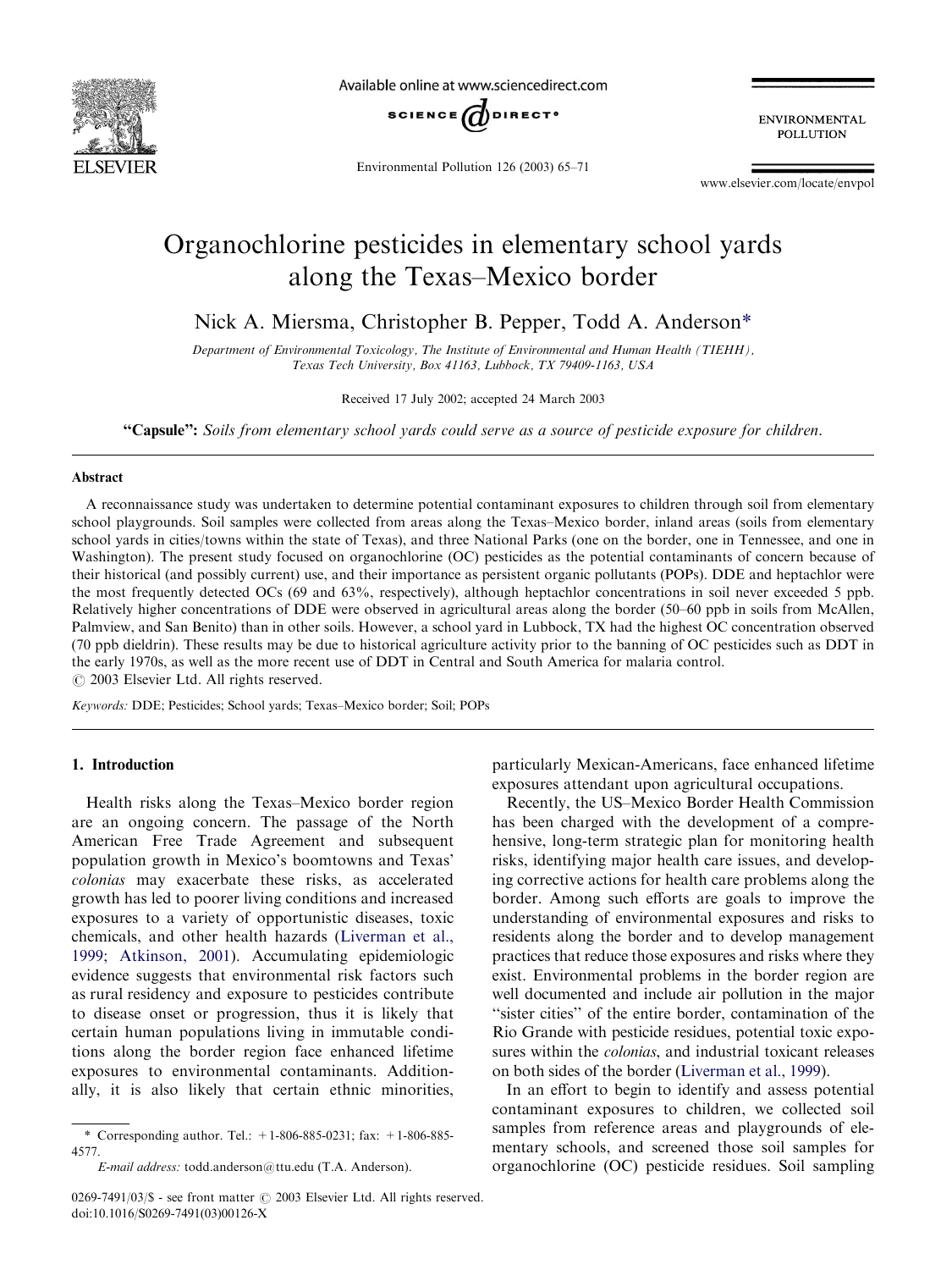

Available online at www.sciencedirect.com



Environmental Pollution 126 (2003) 65–71

**ENVIRONMENTAL POLLUTION** 

[www.elsevier.com/locate/envpol](http://www.elsevier.com/locate/envpol/a4.3d)

# Organochlorine pesticides in elementary school yards along the Texas–Mexico border

Nick A. Miersma, Christopher B. Pepper, Todd A. Anderson\*

Department of Environmental Toxicology, The Institute of Environmental and Human Health (TIEHH), Texas Tech University, Box 41163, Lubbock, TX 79409-1163, USA

Received 17 July 2002; accepted 24 March 2003

"Capsule": Soils from elementary school yards could serve as a source of pesticide exposure for children.

### Abstract

A reconnaissance study was undertaken to determine potential contaminant exposures to children through soil from elementary school playgrounds. Soil samples were collected from areas along the Texas–Mexico border, inland areas (soils from elementary school yards in cities/towns within the state of Texas), and three National Parks (one on the border, one in Tennessee, and one in Washington). The present study focused on organochlorine (OC) pesticides as the potential contaminants of concern because of their historical (and possibly current) use, and their importance as persistent organic pollutants (POPs). DDE and heptachlor were the most frequently detected OCs (69 and 63%, respectively), although heptachlor concentrations in soil never exceeded 5 ppb. Relatively higher concentrations of DDE were observed in agricultural areas along the border (50–60 ppb in soils from McAllen, Palmview, and San Benito) than in other soils. However, a school yard in Lubbock, TX had the highest OC concentration observed (70 ppb dieldrin). These results may be due to historical agriculture activity prior to the banning of OC pesticides such as DDT in the early 1970s, as well as the more recent use of DDT in Central and South America for malaria control.  $\circ$  2003 Elsevier Ltd. All rights reserved.

Keywords: DDE; Pesticides; School yards; Texas–Mexico border; Soil; POPs

# 1. Introduction

Health risks along the Texas–Mexico border region are an ongoing concern. The passage of the North American Free Trade Agreement and subsequent population growth in Mexico's boomtowns and Texas' colonias may exacerbate these risks, as accelerated growth has led to poorer living conditions and increased exposures to a variety of opportunistic diseases, toxic chemicals, and other health hazards ([Liverman et al.,](#page-6-0) [1999; Atkinson, 2001](#page-6-0)). Accumulating epidemiologic evidence suggests that environmental risk factors such as rural residency and exposure to pesticides contribute to disease onset or progression, thus it is likely that certain human populations living in immutable conditions along the border region face enhanced lifetime exposures to environmental contaminants. Additionally, it is also likely that certain ethnic minorities,

particularly Mexican-Americans, face enhanced lifetime exposures attendant upon agricultural occupations.

Recently, the US–Mexico Border Health Commission has been charged with the development of a comprehensive, long-term strategic plan for monitoring health risks, identifying major health care issues, and developing corrective actions for health care problems along the border. Among such efforts are goals to improve the understanding of environmental exposures and risks to residents along the border and to develop management practices that reduce those exposures and risks where they exist. Environmental problems in the border region are well documented and include air pollution in the major "sister cities" of the entire border, contamination of the Rio Grande with pesticide residues, potential toxic exposures within the *colonias*, and industrial toxicant releases on both sides of the border ([Liverman et al., 1999](#page-6-0)).

In an effort to begin to identify and assess potential contaminant exposures to children, we collected soil samples from reference areas and playgrounds of elementary schools, and screened those soil samples for organochlorine (OC) pesticide residues. Soil sampling

<sup>\*</sup> Corresponding author. Tel.:  $+1-806-885-0231$ ; fax:  $+1-806-885-$ 4577.

E-mail address: [todd.anderson@ttu.edu](mailto:todd.anderson@ttu.edu) (T.A. Anderson).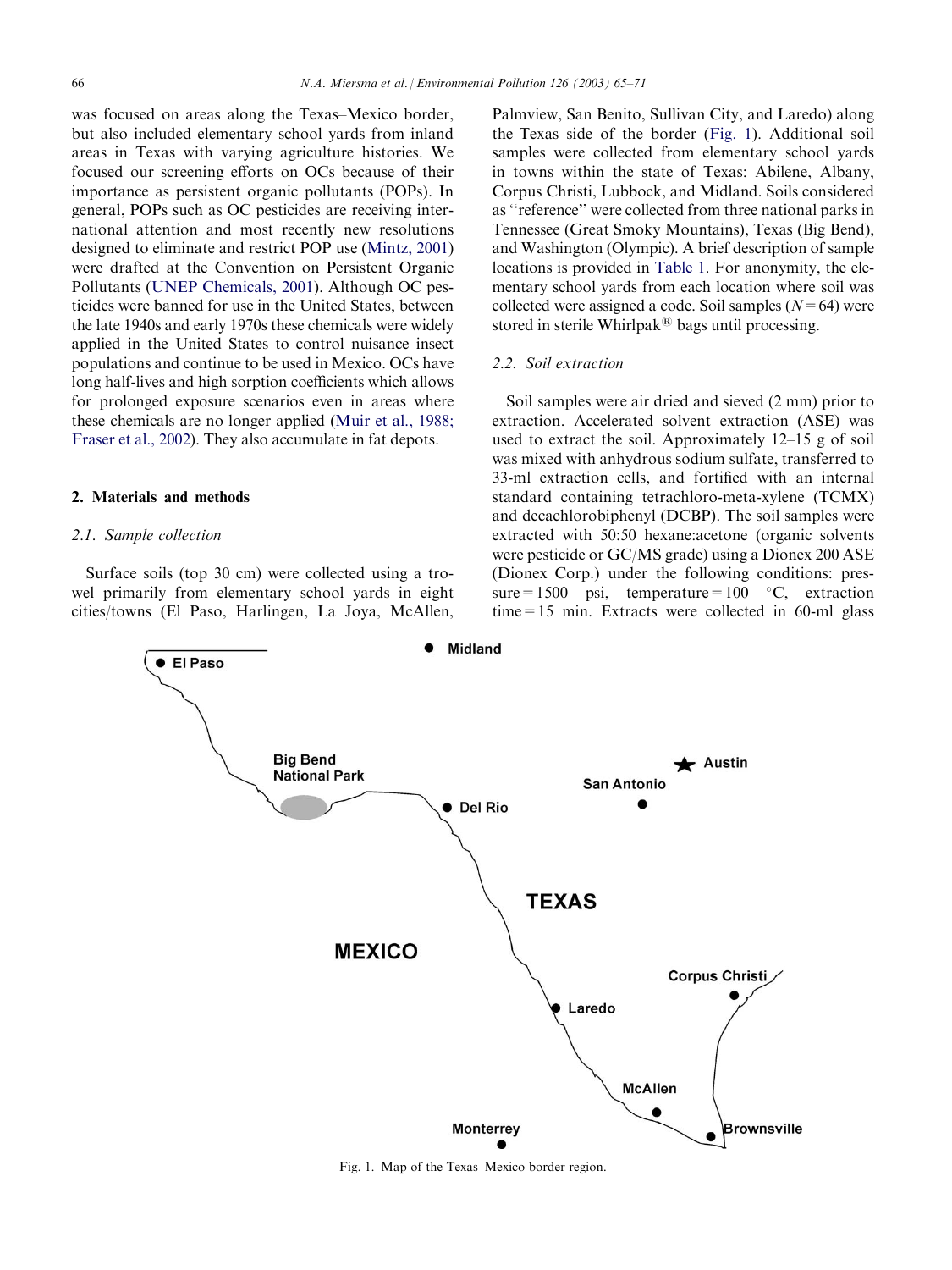was focused on areas along the Texas–Mexico border, but also included elementary school yards from inland areas in Texas with varying agriculture histories. We focused our screening efforts on OCs because of their importance as persistent organic pollutants (POPs). In general, POPs such as OC pesticides are receiving international attention and most recently new resolutions designed to eliminate and restrict POP use ([Mintz, 2001\)](#page-6-0) were drafted at the Convention on Persistent Organic Pollutants ([UNEP Chemicals, 2001](#page-6-0)). Although OC pesticides were banned for use in the United States, between the late 1940s and early 1970s these chemicals were widely applied in the United States to control nuisance insect populations and continue to be used in Mexico. OCs have long half-lives and high sorption coefficients which allows for prolonged exposure scenarios even in areas where these chemicals are no longer applied ([Muir et al., 1988;](#page-6-0) [Fraser et al., 2002\)](#page-6-0). They also accumulate in fat depots.

# 2. Materials and methods

### 2.1. Sample collection

Surface soils (top 30 cm) were collected using a trowel primarily from elementary school yards in eight cities/towns (El Paso, Harlingen, La Joya, McAllen,

Palmview, San Benito, Sullivan City, and Laredo) along the Texas side of the border (Fig. 1). Additional soil samples were collected from elementary school yards in towns within the state of Texas: Abilene, Albany, Corpus Christi, Lubbock, and Midland. Soils considered as ''reference'' were collected from three national parks in Tennessee (Great Smoky Mountains), Texas (Big Bend), and Washington (Olympic). A brief description of sample locations is provided in [Table 1](#page-2-0). For anonymity, the elementary school yards from each location where soil was collected were assigned a code. Soil samples  $(N=64)$  were stored in sterile Whirlpak<sup>®</sup> bags until processing.

# 2.2. Soil extraction

Soil samples were air dried and sieved (2 mm) prior to extraction. Accelerated solvent extraction (ASE) was used to extract the soil. Approximately 12–15 g of soil was mixed with anhydrous sodium sulfate, transferred to 33-ml extraction cells, and fortified with an internal standard containing tetrachloro-meta-xylene (TCMX) and decachlorobiphenyl (DCBP). The soil samples were extracted with 50:50 hexane:acetone (organic solvents were pesticide or GC/MS grade) using a Dionex 200 ASE (Dionex Corp.) under the following conditions: pressure=1500 psi, temperature=100  $°C$ , extraction time=15 min. Extracts were collected in 60-ml glass



Fig. 1. Map of the Texas–Mexico border region.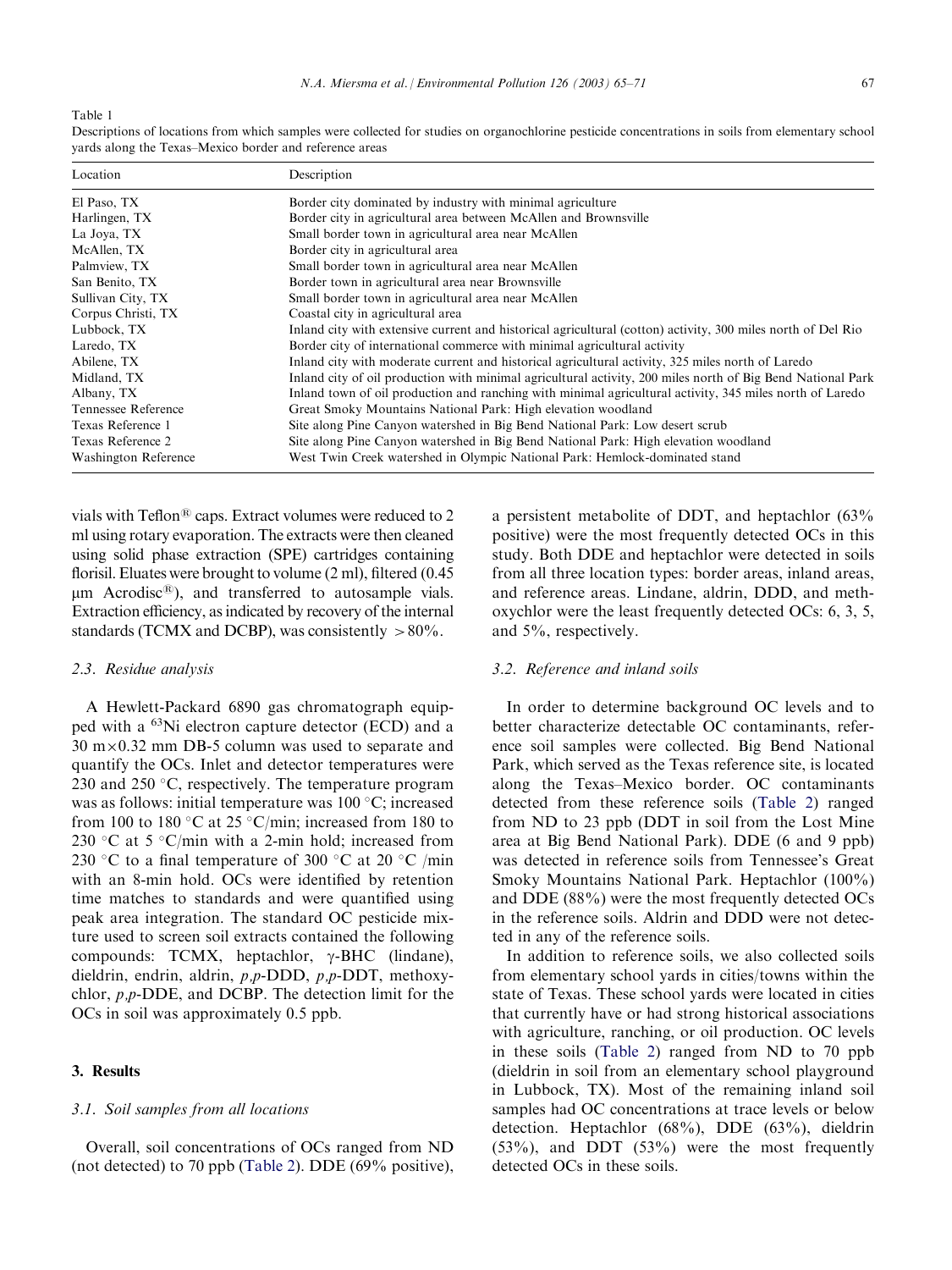<span id="page-2-0"></span>Table 1

| Location                    | Description                                                                                                  |
|-----------------------------|--------------------------------------------------------------------------------------------------------------|
| El Paso, TX                 | Border city dominated by industry with minimal agriculture                                                   |
| Harlingen, TX               | Border city in agricultural area between McAllen and Brownsville                                             |
| La Joya, TX                 | Small border town in agricultural area near McAllen                                                          |
| McAllen, TX                 | Border city in agricultural area                                                                             |
| Palmview, TX                | Small border town in agricultural area near McAllen                                                          |
| San Benito, TX              | Border town in agricultural area near Brownsville                                                            |
| Sullivan City, TX           | Small border town in agricultural area near McAllen                                                          |
| Corpus Christi, TX          | Coastal city in agricultural area                                                                            |
| Lubbock, TX                 | Inland city with extensive current and historical agricultural (cotton) activity, 300 miles north of Del Rio |
| Laredo, TX                  | Border city of international commerce with minimal agricultural activity                                     |
| Abilene, TX                 | Inland city with moderate current and historical agricultural activity, 325 miles north of Laredo            |
| Midland, TX                 | Inland city of oil production with minimal agricultural activity, 200 miles north of Big Bend National Park  |
| Albany, TX                  | Inland town of oil production and ranching with minimal agricultural activity, 345 miles north of Laredo     |
| Tennessee Reference         | Great Smoky Mountains National Park: High elevation woodland                                                 |
| Texas Reference 1           | Site along Pine Canyon watershed in Big Bend National Park: Low desert scrub                                 |
| Texas Reference 2           | Site along Pine Canyon watershed in Big Bend National Park: High elevation woodland                          |
| <b>Washington Reference</b> | West Twin Creek watershed in Olympic National Park: Hemlock-dominated stand                                  |

Descriptions of locations from which samples were collected for studies on organochlorine pesticide concentrations in soils from elementary school yards along the Texas–Mexico border and reference areas

vials with Teflon<sup>®</sup> caps. Extract volumes were reduced to 2 ml using rotary evaporation. The extracts were then cleaned using solid phase extraction (SPE) cartridges containing florisil. Eluates were brought to volume (2 ml), filtered (0.45  $\mu$ m Acrodisc<sup>®</sup>), and transferred to autosample vials. Extraction efficiency, as indicated by recovery of the internal standards (TCMX and DCBP), was consistently  $>80\%$ .

# 2.3. Residue analysis

A Hewlett-Packard 6890 gas chromatograph equipped with a 63Ni electron capture detector (ECD) and a  $30 \text{ m} \times 0.32 \text{ mm}$  DB-5 column was used to separate and quantify the OCs. Inlet and detector temperatures were 230 and 250  $\degree$ C, respectively. The temperature program was as follows: initial temperature was  $100\degree C$ ; increased from 100 to 180 °C at 25 °C/min; increased from 180 to 230 °C at 5 °C/min with a 2-min hold; increased from 230 °C to a final temperature of 300 °C at 20 °C /min with an 8-min hold. OCs were identified by retention time matches to standards and were quantified using peak area integration. The standard OC pesticide mixture used to screen soil extracts contained the following compounds: TCMX, heptachlor,  $\gamma$ -BHC (lindane), dieldrin, endrin, aldrin, p,p-DDD, p,p-DDT, methoxychlor, p,p-DDE, and DCBP. The detection limit for the OCs in soil was approximately 0.5 ppb.

# 3. Results

#### 3.1. Soil samples from all locations

Overall, soil concentrations of OCs ranged from ND (not detected) to 70 ppb ([Table 2\)](#page-3-0). DDE (69% positive),

a persistent metabolite of DDT, and heptachlor (63% positive) were the most frequently detected OCs in this study. Both DDE and heptachlor were detected in soils from all three location types: border areas, inland areas, and reference areas. Lindane, aldrin, DDD, and methoxychlor were the least frequently detected OCs: 6, 3, 5, and 5%, respectively.

# 3.2. Reference and inland soils

In order to determine background OC levels and to better characterize detectable OC contaminants, reference soil samples were collected. Big Bend National Park, which served as the Texas reference site, is located along the Texas–Mexico border. OC contaminants detected from these reference soils ([Table 2\)](#page-3-0) ranged from ND to 23 ppb (DDT in soil from the Lost Mine area at Big Bend National Park). DDE (6 and 9 ppb) was detected in reference soils from Tennessee's Great Smoky Mountains National Park. Heptachlor (100%) and DDE (88%) were the most frequently detected OCs in the reference soils. Aldrin and DDD were not detected in any of the reference soils.

In addition to reference soils, we also collected soils from elementary school yards in cities/towns within the state of Texas. These school yards were located in cities that currently have or had strong historical associations with agriculture, ranching, or oil production. OC levels in these soils [\(Table 2\)](#page-3-0) ranged from ND to 70 ppb (dieldrin in soil from an elementary school playground in Lubbock, TX). Most of the remaining inland soil samples had OC concentrations at trace levels or below detection. Heptachlor (68%), DDE (63%), dieldrin (53%), and DDT (53%) were the most frequently detected OCs in these soils.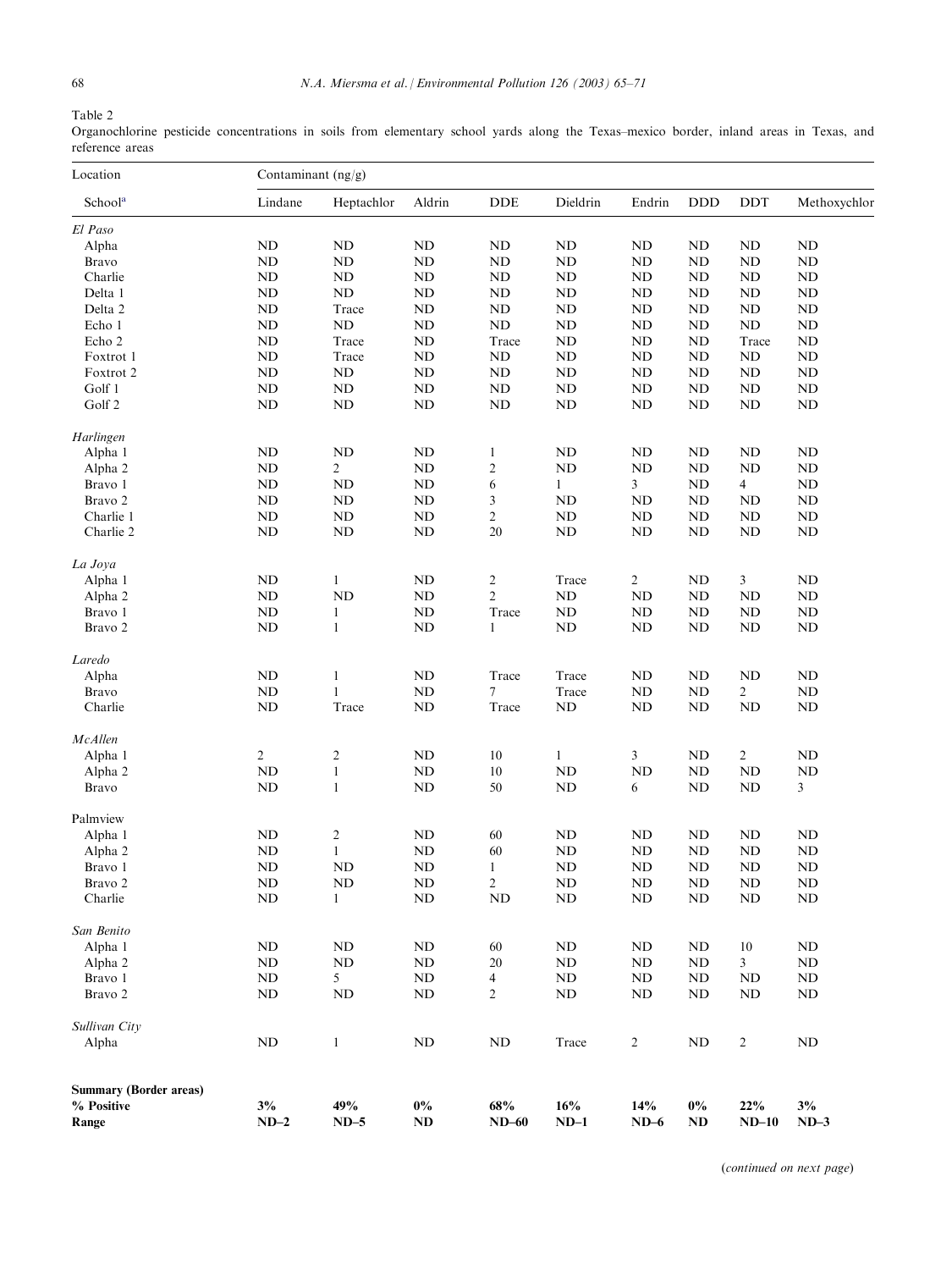<span id="page-3-0"></span>Table 2

Organochlorine pesticide concentrations in soils from elementary school yards along the Texas–mexico border, inland areas in Texas, and reference areas

| Location<br>Schoola           | Contaminant $(ng/g)$ |                |               |                         |              |                |            |                |              |
|-------------------------------|----------------------|----------------|---------------|-------------------------|--------------|----------------|------------|----------------|--------------|
|                               | Lindane              | Heptachlor     | Aldrin        | <b>DDE</b>              | Dieldrin     | Endrin         | <b>DDD</b> | DDT            | Methoxychlor |
| El Paso                       |                      |                |               |                         |              |                |            |                |              |
| Alpha                         | ND                   | $\rm ND$       | $\rm ND$      | ${\rm ND}$              | ND           | <b>ND</b>      | <b>ND</b>  | <b>ND</b>      | ND           |
| Bravo                         | ND                   | $\rm ND$       | ND            | ND                      | ND           | ND             | ND         | ND             | ND           |
| Charlie                       | <b>ND</b>            | ND             | <b>ND</b>     | ND                      | $\rm ND$     | ND             | ND         | ND             | ND           |
| Delta 1                       | ND                   | $\rm ND$       | <b>ND</b>     | ND                      | $\rm ND$     | <b>ND</b>      | <b>ND</b>  | $\rm ND$       | ND           |
| Delta 2                       | <b>ND</b>            | Trace          | <b>ND</b>     | ND                      | ND           | <b>ND</b>      | <b>ND</b>  | ND             | ND           |
| Echo 1                        | <b>ND</b>            | ND             | <b>ND</b>     | $\rm ND$                | $\rm ND$     | ND             | <b>ND</b>  | ND             | <b>ND</b>    |
| Echo 2                        | ND                   | Trace          | <b>ND</b>     | Trace                   | ND           | <b>ND</b>      | ND         | Trace          | ND           |
| Foxtrot 1                     | <b>ND</b>            | Trace          | <b>ND</b>     | ND                      | ND           | <b>ND</b>      | <b>ND</b>  | <b>ND</b>      | ND           |
| Foxtrot 2                     | <b>ND</b>            | $\rm ND$       | <b>ND</b>     | $\rm ND$                | $\rm ND$     | <b>ND</b>      | <b>ND</b>  | ND             | <b>ND</b>    |
| Golf 1                        | ND                   | ND             | <b>ND</b>     | $\rm ND$                | ND           | $\rm ND$       | ND         | $\rm ND$       | ND           |
| Golf 2                        | <b>ND</b>            | ND             | <b>ND</b>     | ND                      | <b>ND</b>    | <b>ND</b>      | <b>ND</b>  | ND             | <b>ND</b>    |
|                               |                      |                |               |                         |              |                |            |                |              |
| Harlingen                     |                      |                |               |                         |              |                |            |                |              |
| Alpha 1                       | ND                   | ND             | <b>ND</b>     | 1                       | ND           | ND             | ND         | ND             | ND           |
| Alpha 2                       | <b>ND</b>            | $\overline{c}$ | <b>ND</b>     | $\overline{\mathbf{c}}$ | $\rm ND$     | <b>ND</b>      | ND         | <b>ND</b>      | <b>ND</b>    |
| Bravo 1                       | ND                   | ND             | <b>ND</b>     | 6                       | $\mathbf{1}$ | 3              | ND         | $\overline{4}$ | ND           |
| Bravo 2                       | <b>ND</b>            | ND             | <b>ND</b>     | 3                       | <b>ND</b>    | <b>ND</b>      | ND         | <b>ND</b>      | ND           |
| Charlie 1                     | ND                   | $\rm ND$       | ND            | $\overline{c}$          | $\rm ND$     | $\rm ND$       | <b>ND</b>  | $\rm ND$       | ND           |
| Charlie 2                     | <b>ND</b>            | $\rm ND$       | <b>ND</b>     | 20                      | ND           | ND             | <b>ND</b>  | $\rm ND$       | <b>ND</b>    |
| La Joya                       |                      |                |               |                         |              |                |            |                |              |
| Alpha 1                       | <b>ND</b>            | $\mathbf{1}$   | <b>ND</b>     | $\overline{c}$          | Trace        | $\overline{2}$ | ND         | 3              | ND           |
| Alpha 2                       | <b>ND</b>            | ND             | <b>ND</b>     | $\overline{c}$          | <b>ND</b>    | <b>ND</b>      | ND         | <b>ND</b>      | ND           |
| Bravo 1                       | ND                   | 1              | <b>ND</b>     | Trace                   | <b>ND</b>    | ND             | ND         | ND             | ND           |
| Bravo 2                       | <b>ND</b>            | $\mathbf{1}$   | <b>ND</b>     | 1                       | $\rm ND$     | ND             | <b>ND</b>  | $\rm ND$       | ND           |
|                               |                      |                |               |                         |              |                |            |                |              |
| Laredo                        |                      |                |               |                         |              |                |            |                |              |
| Alpha                         | <b>ND</b>            | $\mathbf{1}$   | <b>ND</b>     | Trace                   | Trace        | <b>ND</b>      | ND         | <b>ND</b>      | ND           |
| Bravo                         | ND                   | 1              | <b>ND</b>     | 7                       | Trace        | $\rm ND$       | <b>ND</b>  | $\overline{c}$ | ND           |
| Charlie                       | ND                   | Trace          | <b>ND</b>     | Trace                   | ND           | <b>ND</b>      | <b>ND</b>  | ND             | <b>ND</b>    |
| McAllen                       |                      |                |               |                         |              |                |            |                |              |
| Alpha 1                       | 2                    | $\overline{2}$ | <b>ND</b>     | 10                      | $\mathbf{1}$ | 3              | <b>ND</b>  | $\overline{2}$ | <b>ND</b>    |
| Alpha 2                       | <b>ND</b>            | $\mathbf{1}$   | $\mathbf{ND}$ | $10\,$                  | ND           | ND             | <b>ND</b>  | ND             | <b>ND</b>    |
| <b>Bravo</b>                  | <b>ND</b>            | $\mathbf{1}$   | <b>ND</b>     | 50                      | ND           | 6              | <b>ND</b>  | $\rm ND$       | 3            |
| Palmview                      |                      |                |               |                         |              |                |            |                |              |
|                               | <b>ND</b>            |                | <b>ND</b>     |                         | <b>ND</b>    | <b>ND</b>      | ND         | <b>ND</b>      | ND           |
| Alpha 1                       |                      | $\overline{2}$ |               | 60                      |              |                |            |                |              |
| Alpha 2                       | ND                   | $\mathbf{1}$   | <b>ND</b>     | 60                      | ND           | $\rm ND$       | <b>ND</b>  | <b>ND</b>      | ND           |
| Bravo 1                       | ND                   | ND             | <b>ND</b>     | $\mathbf{1}$            | $\rm ND$     | ND             | ND         | $\rm ND$       | ND           |
| Bravo 2                       | ND                   | ND             | $\rm ND$      | 2                       | $\rm ND$     | ND             | ND         | $\mathbf{ND}$  | ND           |
| Charlie                       | <b>ND</b>            | $\mathbf{1}$   | <b>ND</b>     | N <sub>D</sub>          | <b>ND</b>    | ND             | <b>ND</b>  | ND             | ND           |
| San Benito                    |                      |                |               |                         |              |                |            |                |              |
| Alpha 1                       | <b>ND</b>            | ND             | <b>ND</b>     | 60                      | ND           | ND             | ND         | 10             | ND           |
| Alpha 2                       | ND                   | ND             | <b>ND</b>     | 20                      | $\rm ND$     | ND             | ND         | 3              | ND           |
| Bravo 1                       | <b>ND</b>            | 5              | <b>ND</b>     | 4                       | ND           | ND             | ND         | ND             | ND           |
| Bravo 2                       | ND                   | ND             | ND            | 2                       | ND           | ND             | ND         | ND             | ND           |
| Sullivan City                 |                      |                |               |                         |              |                |            |                |              |
| Alpha                         | ND                   | $\mathbf{1}$   | <b>ND</b>     | ND                      | Trace        | $\overline{c}$ | <b>ND</b>  | $\overline{c}$ | <b>ND</b>    |
|                               |                      |                |               |                         |              |                |            |                |              |
| <b>Summary (Border areas)</b> |                      |                |               |                         |              |                |            |                |              |
| % Positive                    | $3\%$                | 49%            | $0\%$         | 68%                     | 16%          | 14%            | $0\%$      | 22%            | 3%           |
| Range                         | $ND-2$               | $ND-5$         | ND            | $ND-60$                 | $ND-1$       | $ND-6$         | ND         | $ND-10$        | $ND-3$       |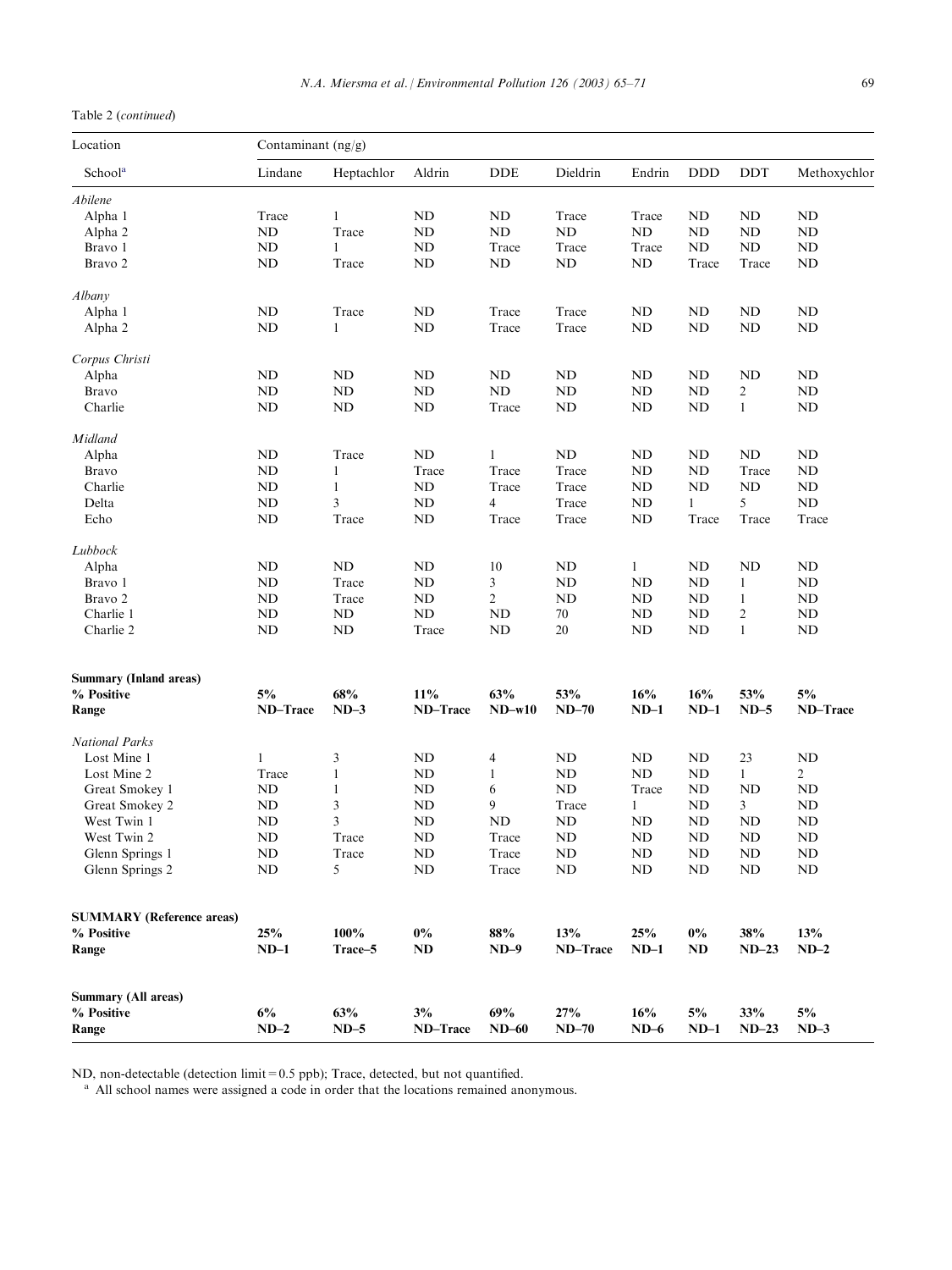# <span id="page-4-0"></span>Table 2 (continued)

| Location<br>School <sup>a</sup>  | Contaminant $(ng/g)$ |              |           |                |           |           |            |                |                |
|----------------------------------|----------------------|--------------|-----------|----------------|-----------|-----------|------------|----------------|----------------|
|                                  | Lindane              | Heptachlor   | Aldrin    | <b>DDE</b>     | Dieldrin  | Endrin    | <b>DDD</b> | DDT            | Methoxychlor   |
| Abilene                          |                      |              |           |                |           |           |            |                |                |
| Alpha 1                          | Trace                | $\mathbf{1}$ | <b>ND</b> | <b>ND</b>      | Trace     | Trace     | ND         | ND             | ND             |
| Alpha 2                          | <b>ND</b>            | Trace        | <b>ND</b> | ND             | ND        | ND        | ND         | ND             | ND             |
| Bravo 1                          | <b>ND</b>            | 1            | <b>ND</b> | Trace          | Trace     | Trace     | ND         | ND             | ND             |
|                                  |                      |              |           |                |           |           |            |                |                |
| Bravo 2                          | <b>ND</b>            | Trace        | <b>ND</b> | <b>ND</b>      | $\rm ND$  | ND        | Trace      | Trace          | ND             |
| Albany                           |                      |              |           |                |           |           |            |                |                |
| Alpha 1                          | ND                   | Trace        | <b>ND</b> | Trace          | Trace     | ND        | ND         | ND             | ND             |
| Alpha 2                          | <b>ND</b>            | 1            | <b>ND</b> | Trace          | Trace     | ND        | <b>ND</b>  | ND             | ND             |
| Corpus Christi                   |                      |              |           |                |           |           |            |                |                |
| Alpha                            | <b>ND</b>            | ND           | <b>ND</b> | <b>ND</b>      | ND        | ND        | ND         | <b>ND</b>      | ND             |
| Bravo                            | <b>ND</b>            | ND           | <b>ND</b> | ND             | ND        | ND        | ND         | 2              | <b>ND</b>      |
|                                  |                      |              |           |                |           |           |            |                |                |
| Charlie                          | <b>ND</b>            | ND           | <b>ND</b> | Trace          | <b>ND</b> | ND        | <b>ND</b>  | $\mathbf{1}$   | ND             |
| Midland                          |                      |              |           |                |           |           |            |                |                |
| Alpha                            | <b>ND</b>            | Trace        | $\rm ND$  | $\mathbf{1}$   | $\rm ND$  | ND        | ND         | <b>ND</b>      | ND             |
| Bravo                            | ND                   | 1            | Trace     | Trace          | Trace     | ND        | ND         | Trace          | ND             |
| Charlie                          | <b>ND</b>            | 1            | <b>ND</b> | Trace          | Trace     | ND        | ND         | ND             | <b>ND</b>      |
| Delta                            | <b>ND</b>            | 3            | ND        | $\overline{4}$ | Trace     | ND        | 1          | 5              | ND             |
| Echo                             | <b>ND</b>            | Trace        | ND        | Trace          | Trace     | <b>ND</b> | Trace      | Trace          | Trace          |
| Lubbock                          |                      |              |           |                |           |           |            |                |                |
| Alpha                            | ND                   | ND           | <b>ND</b> | 10             | ND        | 1         | ND         | ND             | ND             |
| Bravo 1                          | <b>ND</b>            | Trace        | <b>ND</b> | 3              | <b>ND</b> | <b>ND</b> | <b>ND</b>  | 1              | ND             |
| Bravo 2                          |                      |              |           |                |           |           |            |                |                |
|                                  | <b>ND</b>            | Trace        | ND        | $\overline{2}$ | ND        | ND        | ND         | $\mathbf{1}$   | <b>ND</b>      |
| Charlie 1                        | <b>ND</b>            | ND           | ND        | <b>ND</b>      | 70        | ND        | ND         | $\overline{c}$ | ND             |
| Charlie 2                        | ND                   | ND           | Trace     | <b>ND</b>      | 20        | <b>ND</b> | <b>ND</b>  | $\mathbf{1}$   | ND             |
|                                  |                      |              |           |                |           |           |            |                |                |
| <b>Summary (Inland areas)</b>    |                      |              |           |                |           |           |            |                |                |
| % Positive                       | 5%                   | 68%          | 11%       | 63%            | 53%       | 16%       | 16%        | 53%            | 5%             |
| Range                            | ND-Trace             | $ND-3$       | ND-Trace  | $ND-w10$       | $ND-70$   | $ND-1$    | $ND-1$     | $ND-5$         | ND-Trace       |
| <b>National Parks</b>            |                      |              |           |                |           |           |            |                |                |
| Lost Mine 1                      | 1                    | 3            | <b>ND</b> | $\overline{4}$ | ND        | ND        | ND         | 23             | <b>ND</b>      |
| Lost Mine 2                      | Trace                | 1            | <b>ND</b> | $\mathbf{1}$   | ND        | ND        | <b>ND</b>  | 1              | $\overline{c}$ |
| Great Smokey 1                   | ND                   | $\mathbf{1}$ | <b>ND</b> | 6              | $\rm ND$  | Trace     | <b>ND</b>  | <b>ND</b>      | <b>ND</b>      |
| Great Smokey 2                   | <b>ND</b>            | 3            | <b>ND</b> | 9              | Trace     | 1         | <b>ND</b>  | 3              | <b>ND</b>      |
| West Twin 1                      | ND                   | 3            | ND        | <b>ND</b>      | ND        | ND        | <b>ND</b>  | <b>ND</b>      | <b>ND</b>      |
| West Twin 2                      | <b>ND</b>            | Trace        | ND        | Trace          | $\rm ND$  | ND        | <b>ND</b>  | ND             | <b>ND</b>      |
|                                  |                      |              |           |                |           |           |            |                |                |
| Glenn Springs 1                  | ND                   | Trace        | ND        | Trace          | ND        | ND        | ND         | ND             | ND             |
| Glenn Springs 2                  | ND                   | 5            | <b>ND</b> | Trace          | ND        | ND        | <b>ND</b>  | ND             | ND             |
|                                  |                      |              |           |                |           |           |            |                |                |
| <b>SUMMARY</b> (Reference areas) |                      |              |           |                |           |           |            |                |                |
| % Positive                       | 25%                  | 100%         | $0\%$     | $88\%$         | 13%       | 25%       | $0\%$      | 38%            | 13%            |
| Range                            | $ND-1$               | Trace-5      | ND        | $ND-9$         | ND-Trace  | $ND-1$    | ND         | $ND-23$        | $ND-2$         |
| <b>Summary (All areas)</b>       |                      |              |           |                |           |           |            |                |                |
| % Positive                       | $6\%$                | 63%          | $3\%$     | 69%            | 27%       | 16%       | 5%         | 33%            | 5%             |
|                                  |                      |              |           |                |           |           |            |                |                |
| Range                            | $ND-2$               | $ND-5$       | ND-Trace  | $ND-60$        | $ND-70$   | $ND-6$    | $ND-1$     | $ND-23$        | $ND-3$         |

ND, non-detectable (detection limit=0.5 ppb); Trace, detected, but not quantified.

<sup>a</sup> All school names were assigned a code in order that the locations remained anonymous.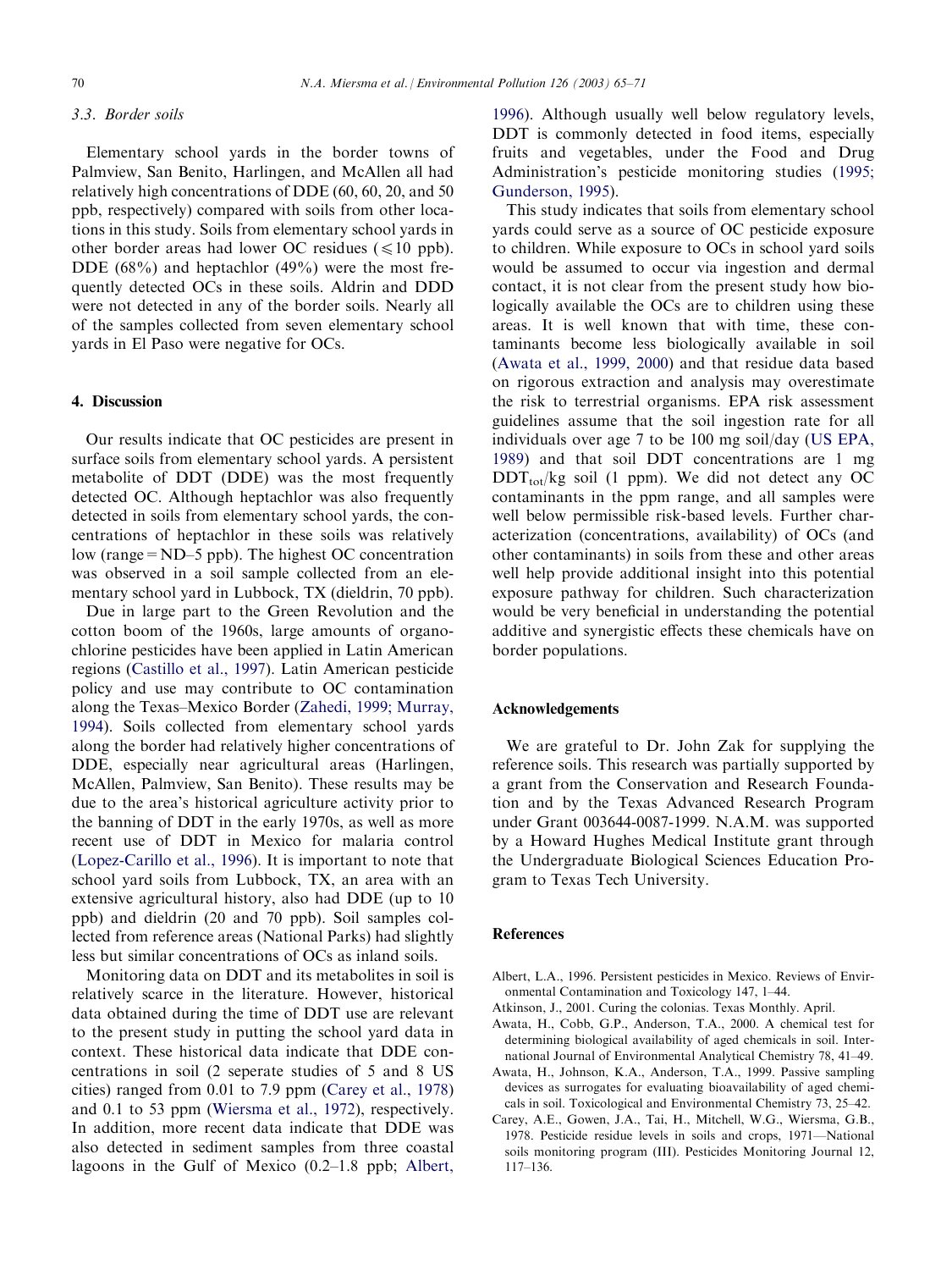#### 3.3. Border soils

Elementary school yards in the border towns of Palmview, San Benito, Harlingen, and McAllen all had relatively high concentrations of DDE (60, 60, 20, and 50 ppb, respectively) compared with soils from other locations in this study. Soils from elementary school yards in other border areas had lower OC residues ( $\leq 10$  ppb). DDE (68%) and heptachlor (49%) were the most frequently detected OCs in these soils. Aldrin and DDD were not detected in any of the border soils. Nearly all of the samples collected from seven elementary school yards in El Paso were negative for OCs.

### 4. Discussion

Our results indicate that OC pesticides are present in surface soils from elementary school yards. A persistent metabolite of DDT (DDE) was the most frequently detected OC. Although heptachlor was also frequently detected in soils from elementary school yards, the concentrations of heptachlor in these soils was relatively low (range=ND–5 ppb). The highest OC concentration was observed in a soil sample collected from an elementary school yard in Lubbock, TX (dieldrin, 70 ppb).

Due in large part to the Green Revolution and the cotton boom of the 1960s, large amounts of organochlorine pesticides have been applied in Latin American regions [\(Castillo et al., 1997](#page-6-0)). Latin American pesticide policy and use may contribute to OC contamination along the Texas–Mexico Border ([Zahedi, 1999; Murray,](#page-6-0) [1994\)](#page-6-0). Soils collected from elementary school yards along the border had relatively higher concentrations of DDE, especially near agricultural areas (Harlingen, McAllen, Palmview, San Benito). These results may be due to the area's historical agriculture activity prior to the banning of DDT in the early 1970s, as well as more recent use of DDT in Mexico for malaria control [\(Lopez-Carillo et al., 1996\)](#page-6-0). It is important to note that school yard soils from Lubbock, TX, an area with an extensive agricultural history, also had DDE (up to 10 ppb) and dieldrin (20 and 70 ppb). Soil samples collected from reference areas (National Parks) had slightly less but similar concentrations of OCs as inland soils.

Monitoring data on DDT and its metabolites in soil is relatively scarce in the literature. However, historical data obtained during the time of DDT use are relevant to the present study in putting the school yard data in context. These historical data indicate that DDE concentrations in soil (2 seperate studies of 5 and 8 US cities) ranged from 0.01 to 7.9 ppm (Carey et al., 1978) and 0.1 to 53 ppm ([Wiersma et al., 1972](#page-6-0)), respectively. In addition, more recent data indicate that DDE was also detected in sediment samples from three coastal lagoons in the Gulf of Mexico (0.2–1.8 ppb; Albert,

1996). Although usually well below regulatory levels, DDT is commonly detected in food items, especially fruits and vegetables, under the Food and Drug Administration's pesticide monitoring studies [\(1995;](#page-6-0) [Gunderson, 1995](#page-6-0)).

This study indicates that soils from elementary school yards could serve as a source of OC pesticide exposure to children. While exposure to OCs in school yard soils would be assumed to occur via ingestion and dermal contact, it is not clear from the present study how biologically available the OCs are to children using these areas. It is well known that with time, these contaminants become less biologically available in soil (Awata et al., 1999, 2000) and that residue data based on rigorous extraction and analysis may overestimate the risk to terrestrial organisms. EPA risk assessment guidelines assume that the soil ingestion rate for all individuals over age 7 to be 100 mg soil/day ([US EPA,](#page-6-0) [1989\)](#page-6-0) and that soil DDT concentrations are 1 mg  $DDT_{tot}/kg$  soil (1 ppm). We did not detect any OC contaminants in the ppm range, and all samples were well below permissible risk-based levels. Further characterization (concentrations, availability) of OCs (and other contaminants) in soils from these and other areas well help provide additional insight into this potential exposure pathway for children. Such characterization would be very beneficial in understanding the potential additive and synergistic effects these chemicals have on border populations.

#### Acknowledgements

We are grateful to Dr. John Zak for supplying the reference soils. This research was partially supported by a grant from the Conservation and Research Foundation and by the Texas Advanced Research Program under Grant 003644-0087-1999. N.A.M. was supported by a Howard Hughes Medical Institute grant through the Undergraduate Biological Sciences Education Program to Texas Tech University.

#### References

- Albert, L.A., 1996. Persistent pesticides in Mexico. Reviews of Environmental Contamination and Toxicology 147, 1–44.
- Atkinson, J., 2001. Curing the colonias. Texas Monthly. April.
- Awata, H., Cobb, G.P., Anderson, T.A., 2000. A chemical test for determining biological availability of aged chemicals in soil. International Journal of Environmental Analytical Chemistry 78, 41–49.
- Awata, H., Johnson, K.A., Anderson, T.A., 1999. Passive sampling devices as surrogates for evaluating bioavailability of aged chemicals in soil. Toxicological and Environmental Chemistry 73, 25–42.
- Carey, A.E., Gowen, J.A., Tai, H., Mitchell, W.G., Wiersma, G.B., 1978. Pesticide residue levels in soils and crops, 1971—National soils monitoring program (III). Pesticides Monitoring Journal 12, 117–136.